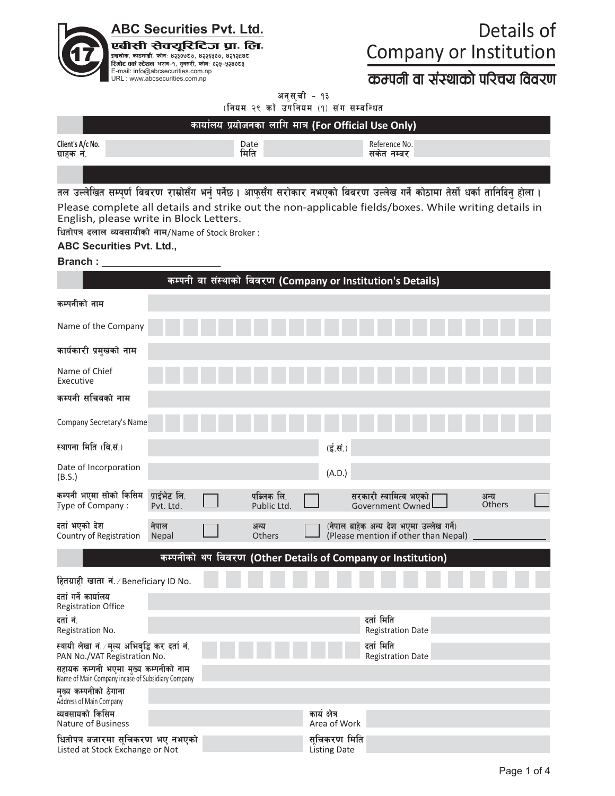

# Details of **Company or Institution**

## करणनी वा संस्थाको परिचय विवरण

अनुसूची - १३ (नियम २९ को उपनियम (१) संग सम्बन्धित

|                                | कार्यालय प्रयोजनका लागि मात्र (For Official Use Only) |                              |  |
|--------------------------------|-------------------------------------------------------|------------------------------|--|
| Client's A/c No.<br>ग्राहक नं. | Date<br>मिति                                          | Reference No.<br>संकेत नम्बर |  |
|                                |                                                       |                              |  |

तल उल्लेखित सम्पूर्ण विवरण राम्रोसँग भर्नु पर्नेछ । आफूसँग सरोकार नभएको विवरण उल्लेख गर्ने कोठामा तेर्सो धर्का तानिदिनु होला । Please complete all details and strike out the non-applicable fields/boxes. While writing details in English, please write in Block Letters.

धितोपत्र दलाल व्यवसायीको नाम/Name of Stock Broker :

### **ABC Securities Pvt. Ltd.,**

#### **Branch:**

|                                                                                           |                           | कम्पनी वा संस्थाको विवरण (Company or Institution's Details) |               |                             |                                                                                  |                          |                |  |
|-------------------------------------------------------------------------------------------|---------------------------|-------------------------------------------------------------|---------------|-----------------------------|----------------------------------------------------------------------------------|--------------------------|----------------|--|
| कम्पनीको नाम                                                                              |                           |                                                             |               |                             |                                                                                  |                          |                |  |
| Name of the Company                                                                       |                           |                                                             |               |                             |                                                                                  |                          |                |  |
| कार्यकारी प्रमुखको नाम                                                                    |                           |                                                             |               |                             |                                                                                  |                          |                |  |
| Name of Chief<br>Executive                                                                |                           |                                                             |               |                             |                                                                                  |                          |                |  |
| कम्पनी सचिवको नाम                                                                         |                           |                                                             |               |                             |                                                                                  |                          |                |  |
| Company Secretary's Name                                                                  |                           |                                                             |               |                             |                                                                                  |                          |                |  |
| स्थापना मिति (वि.सं.)                                                                     |                           |                                                             |               | $(\vec{\xi},\vec{\eta})$    |                                                                                  |                          |                |  |
| Date of Incorporation<br>(B.S.)                                                           |                           |                                                             |               | (A.D.)                      |                                                                                  |                          |                |  |
| कम्पनी भएमा सोको किसिम<br>Type of Company:                                                | प्राईभेट लि.<br>Pvt. Ltd. | पब्लिक लि.<br>Public Ltd.                                   |               |                             | सरकारी स्वामित्व भएको<br>Government Owned                                        |                          | अन्य<br>Others |  |
| दर्ता भएको देश<br>Country of Registration                                                 | नेपाल<br><b>Nepal</b>     | अन्य<br>Others                                              |               |                             | (नेपाल बाहेक अन्य देश भएमा उल्लेख गर्ने)<br>(Please mention if other than Nepal) |                          |                |  |
|                                                                                           |                           | कम्पनीको थप विवरण (Other Details of Company or Institution) |               |                             |                                                                                  |                          |                |  |
| हितग्राही खाता नं. / Beneficiary ID No.                                                   |                           |                                                             |               |                             |                                                                                  |                          |                |  |
| दर्ता गर्ने कार्यालय<br><b>Registration Office</b>                                        |                           |                                                             |               |                             |                                                                                  |                          |                |  |
| दर्तानं.<br>Registration No.                                                              |                           |                                                             |               |                             | दर्ता मिति                                                                       | <b>Registration Date</b> |                |  |
| स्थायी लेखा नं. ∕मुल्य अभिवृद्धि कर दर्ता नं.<br>PAN No./VAT Registration No.             |                           |                                                             |               |                             | दर्ता मिति                                                                       | <b>Registration Date</b> |                |  |
| सहायक कम्पनी भएमा मुख्य कम्पनीको नाम<br>Name of Main Company incase of Subsidiary Company |                           |                                                             |               |                             |                                                                                  |                          |                |  |
| मख्य कम्पनीको ठेगाना<br>Address of Main Company                                           |                           |                                                             |               |                             |                                                                                  |                          |                |  |
| व्यवसायको किसिम<br><b>Nature of Business</b>                                              |                           |                                                             | कार्य क्षेत्र | Area of Work                |                                                                                  |                          |                |  |
| धितोपत्र बजारमा सुचिकरण भए नभएको<br>Listed at Stock Exchange or Not                       |                           |                                                             |               | सचिकरण मिति<br>Listing Date |                                                                                  |                          |                |  |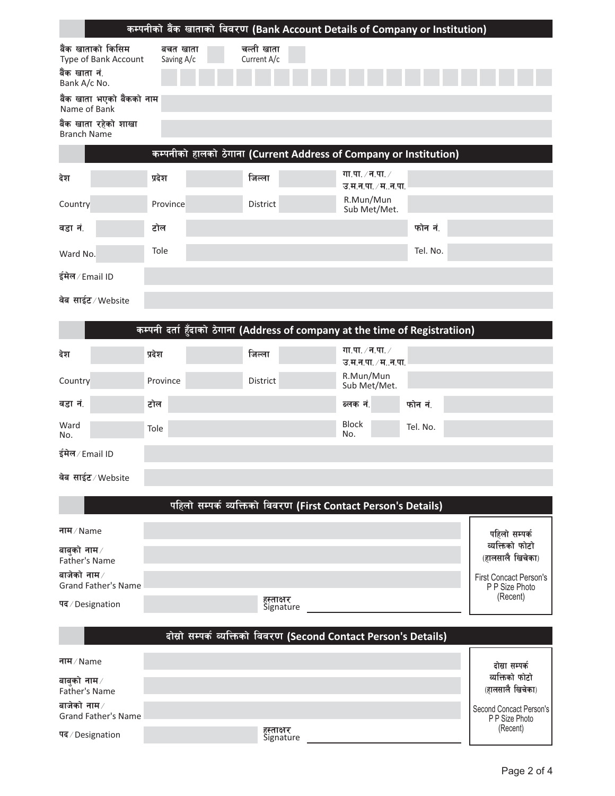|                                                                            |                        |                           | कम्पनीको बैंक खाताको विवरण (Bank Account Details of Company or Institution) |          |  |  |
|----------------------------------------------------------------------------|------------------------|---------------------------|-----------------------------------------------------------------------------|----------|--|--|
| बैंक खाताको किसिम<br>Type of Bank Account<br>बैंक खाता नं.<br>Bank A/c No. | बचत खाता<br>Saving A/c | चल्ती खाता<br>Current A/c |                                                                             |          |  |  |
| बैंक खाता भएको बैंकको नाम<br>Name of Bank                                  |                        |                           |                                                                             |          |  |  |
| बैंक खाता रहेको शाखा<br><b>Branch Name</b>                                 |                        |                           |                                                                             |          |  |  |
|                                                                            |                        |                           | कम्पनीको हालको ठेगाना (Current Address of Company or Institution)           |          |  |  |
| देश                                                                        | प्रदेश                 | जिल्ला                    | गा.पा. $\times$ न.पा. $\times$<br>उ.म.न.पा. / मन.पा.                        |          |  |  |
| Country                                                                    | Province               | District                  | R.Mun/Mun<br>Sub Met/Met.                                                   |          |  |  |
| वडा नं.                                                                    | टोल                    |                           |                                                                             | फोन नं.  |  |  |
| Ward No.                                                                   | Tole                   |                           |                                                                             | Tel. No. |  |  |
| ईमेल/Email ID                                                              |                        |                           |                                                                             |          |  |  |
| वेब साईट⁄Website                                                           |                        |                           |                                                                             |          |  |  |

### कम्पनी दर्ता हुँदाको ठेगाना (Address of company at the time of Registratiion)

| देश             | प्रदेश   | जिल्ला   | गा.पा. ∕ न.पा. ∕<br>उ.म.न.पा. ∕ म…न.पा. ∣ |          |
|-----------------|----------|----------|-------------------------------------------|----------|
| Country         | Province | District | R.Mun/Mun<br>Sub Met/Met.                 |          |
| वडा नं.         | टोल      |          | ब्लक नं.                                  | फोन नं.  |
| Ward<br>No.     | Tole     |          | <b>Block</b><br>No.                       | Tel. No. |
| ईमेल / Email ID |          |          |                                           |          |

| वेब साईट⁄Website |  |
|------------------|--|
|                  |  |

बाजेको नाम $\times$ 

पद/Designation

Grand Father's Name

|                                                    | पहिलो सम्पर्क व्यक्तिको विवरण (First Contact Person's Details)   |                                                             |
|----------------------------------------------------|------------------------------------------------------------------|-------------------------------------------------------------|
| नाम / Name<br>बाबुको नाम $\times$<br>Father's Name |                                                                  | पहिलो सम्पर्क<br>व्यक्तिको फोटो<br>(हालसालै खिचेका)         |
| बाजेको नाम $\times$<br><b>Grand Father's Name</b>  |                                                                  | <b>First Concact Person's</b><br>P P Size Photo<br>(Recent) |
| पद/Designation                                     | हस्ताक्षर<br>Signature                                           |                                                             |
|                                                    | दोस्रो सम्पर्क व्यक्तिको विवरण (Second Contact Person's Details) |                                                             |
| नाम / Name<br>बाबुको नाम $\times$                  |                                                                  | दोस्रा सम्पर्क<br>व्यक्तिको फोटो                            |
| Father's Name                                      |                                                                  | (हालसालै खिचेका)                                            |

हस्ताक्षर<br>Signature

Second Concact Person's<br>P P Size Photo

(Recent)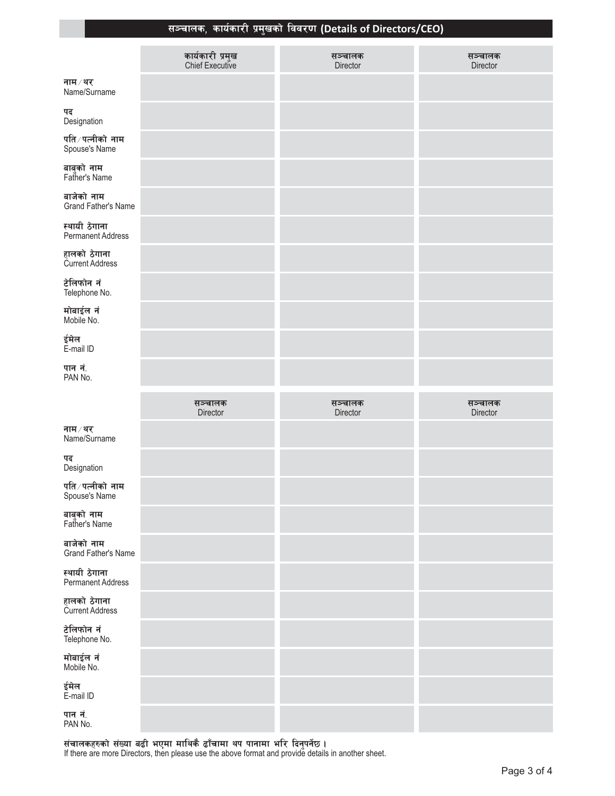### सञ्चालक, कार्यकारी प्रमुखको विवरण (Details of Directors/CEO)

|                                           | कार्यकारी प्रमुख<br>Chief Executive | सञ्चालक<br>Director | सञ्चालक<br>Director |
|-------------------------------------------|-------------------------------------|---------------------|---------------------|
| नाम ⁄ थर<br>Name/Surname                  |                                     |                     |                     |
| पद<br>Designation                         |                                     |                     |                     |
| पति ∕ पत्नीको नाम<br>Spouse's Name        |                                     |                     |                     |
| बाबुको नाम<br>Father's Name               |                                     |                     |                     |
| बाजेको नाम<br>Grand Father's Name         |                                     |                     |                     |
| स्थायी ठेगाना<br><b>Permanent Address</b> |                                     |                     |                     |
| हालको ठेगाना<br>Current Address           |                                     |                     |                     |
| टेलिफोन नं<br>Telephone No.               |                                     |                     |                     |
| मोबाईल नं<br>Mobile No.                   |                                     |                     |                     |
| ईमेल<br>E-mail ID                         |                                     |                     |                     |
| पान नं.<br>PAN No.                        |                                     |                     |                     |
|                                           |                                     |                     |                     |
|                                           | सञ्चालक                             | सञ्चालक             | सञ्चालक             |
| नाम ⁄ थर<br>Name/Surname                  | Director                            | Director            | Director            |
| पद<br>Designation                         |                                     |                     |                     |
| पति ∕ पत्नीको नाम<br>Spouse's Name        |                                     |                     |                     |
| बाबुको नाम<br>Father's Name               |                                     |                     |                     |
| बाजेको नाम<br>Grand Father's Name         |                                     |                     |                     |
| स्थायी ठेगाना<br><b>Permanent Address</b> |                                     |                     |                     |
| हालको ठेगाना<br>Current Address           |                                     |                     |                     |
| टेलिफोन नं<br>Telephone No.               |                                     |                     |                     |
| मोबाईल नं<br>Mobile No.                   |                                     |                     |                     |
| ईमेल<br>E-mail ID                         |                                     |                     |                     |

संचालकहरुको संख्या बढी भएमा माथिकै ढाँचामा थप पानामा भरि दिनुपर्नेछ ।<br>If there are more Directors, then please use the above format and provide details in another sheet.